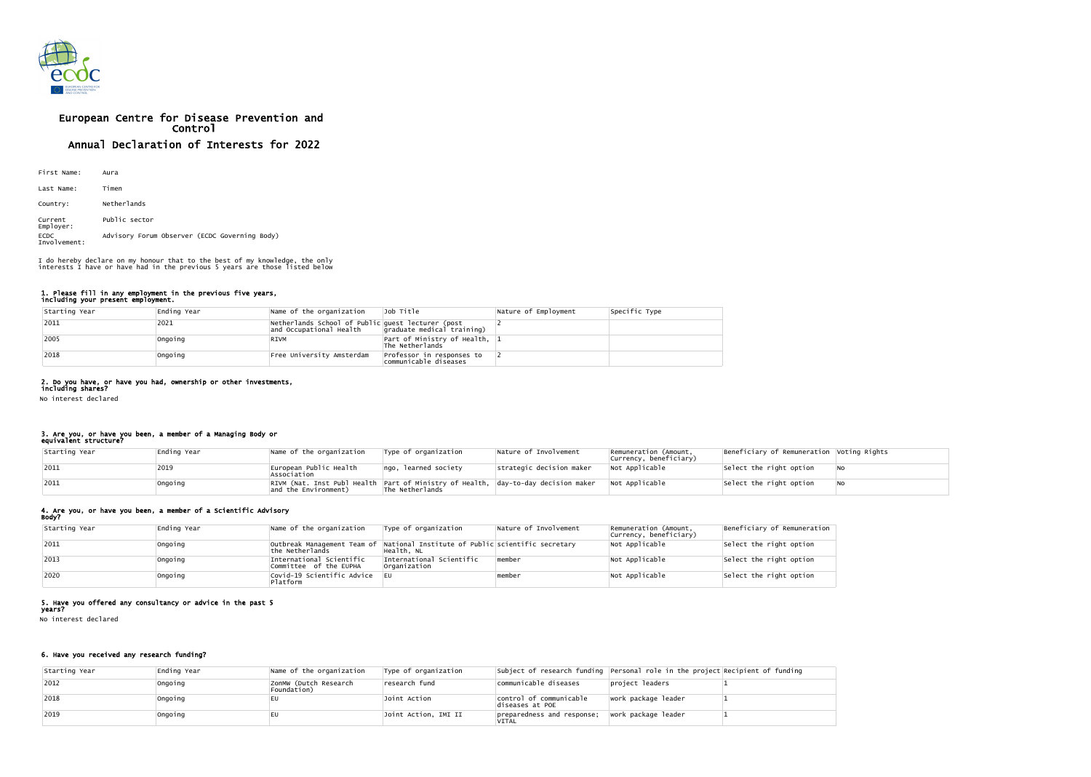

# European Centre for Disease Prevention and Control Annual Declaration of Interests for 2022

| First Name:                 | Aura                                          |
|-----------------------------|-----------------------------------------------|
| Last Name:                  | Timen                                         |
| Country:                    | Netherlands                                   |
| Current<br>Employer:        | Public sector                                 |
| <b>ECDC</b><br>Involvement: | Advisory Forum Observer (ECDC Governing Body) |

#### 1. Please fill in any employment in the previous five years, including your present employment.

| Starting Year | Ending Year | Name of the organization                                                     | Job Title                                            | Nature of Employment | Specific Type |
|---------------|-------------|------------------------------------------------------------------------------|------------------------------------------------------|----------------------|---------------|
| 2011          | 2021        | Netherlands School of Public guest lecturer (post<br>and Occupational Health | graduate medical training)                           |                      |               |
| 2005          | Ongoing     | RIVM                                                                         | Part of Ministry of Health, $ 1 $<br>The Netherlands |                      |               |
| 2018          | Ongoing     | Free University Amsterdam                                                    | Professor in responses to<br>communicable diseases   |                      |               |

## 2. Do you have, or have you had, ownership or other investments,

including shares? No interest declared

## 3. Are you, or have you been, a member of a Managing Body or

## equivalent structure?

| Starting Year | Ending Year | Name of the organization                                                                                  | $\mathsf{Type}$ of organization | Nature of Involvement    | Remuneration (Amount,<br>currency, beneficiary) | Beneficiary of Remuneration Voting Rights |     |
|---------------|-------------|-----------------------------------------------------------------------------------------------------------|---------------------------------|--------------------------|-------------------------------------------------|-------------------------------------------|-----|
| 2011          | 2019        | European Public Health<br>Association                                                                     | ngo, learned society            | strategic decision maker | Not Applicable                                  | Select the right option                   | ∣No |
| 2011          | Ongoing     | RIVM (Nat. Inst Publ Health Part of Ministry of Health, day-to-day decision maker<br>and the Environment) | The Netherlands                 |                          | Not Applicable                                  | Select the right option                   | ∣NO |

## 4. Are you, or have you been, a member of a Scientific Advisory

Body?

| Starting Year | Ending Year | Name of the organization                           | Type of organization                                                                        | Nature of Involvement | Remuneration (Amount,<br>currency, beneficiary) | Beneficiary of Remuneration |
|---------------|-------------|----------------------------------------------------|---------------------------------------------------------------------------------------------|-----------------------|-------------------------------------------------|-----------------------------|
| 2011          | Ongoing     | the Netherlands                                    | outbreak Management Team of National Institute of Public scientific secretary<br>Health. NL |                       | Not Applicable                                  | Select the right option     |
| $ 2013$       | 'Ongoing    | International Scientific<br>Committee of the EUPHA | International Scientific<br> Organization                                                   | member                | Not Applicable                                  | Select the right option     |
| 2020          | Ongoing     | Covid-19 Scientific Advice<br>Platform             |                                                                                             | ∣member               | Not Applicable                                  | Select the right option     |

### 5. Have you offered any consultancy or advice in the past 5

years?

No interest declared

## 6. Have you received any research funding?

| Starting Year | Ending Year | Name of the organization             | Type of organization |                                            | subject of research funding Personal role in the project Recipient of funding |  |
|---------------|-------------|--------------------------------------|----------------------|--------------------------------------------|-------------------------------------------------------------------------------|--|
| 2012          | Ongoing     | ZonMW (Dutch Research<br>Foundation) | research fund        | communicable diseases                      | project leaders                                                               |  |
| 2018          | Ongoing     |                                      | Joint Action         | control of communicable<br>diseases at POE | work package leader                                                           |  |
| 2019          | Ongoing     | EU                                   | Joint Action, IMI II | preparedness and response;<br><b>VITAL</b> | work package leader                                                           |  |

I do hereby declare on my honour that to the best of my knowledge, the only interests I have or have had in the previous 5 years are those listed below